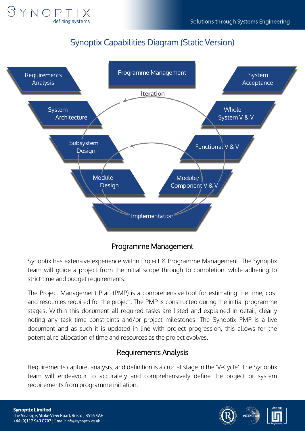

# Synoptix Capabilities Diagram (Static Version)



### Programme Management

Synoptix has extensive experience within Project & Programme Management. The Synoptix team will guide a project from the initial scope through to completion, while adhering to strict time and budget requirements.

The Project Management Plan (PMP) is a comprehensive tool for estimating the time, cost and resources required for the project. The PMP is constructed during the initial programme stages. Within this document all required tasks are listed and explained in detail, clearly noting any task time constraints and/or project milestones. The Synoptix PMP is a live document and as such it is updated in line with project progression, this allows for the potential re-allocation of time and resources as the project evolves.

#### Requirements Analysis

Requirements capture, analysis, and definition is a crucial stage in the 'V-Cycle'. The Synoptix team will endeavour to accurately and comprehensively define the project or system requirements from programme initiation.





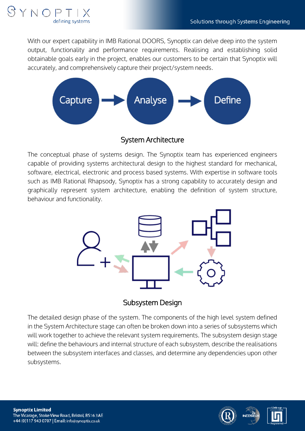

With our expert capability in IMB Rational DOORS, Synoptix can delve deep into the system output, functionality and performance requirements. Realising and establishing solid obtainable goals early in the project, enables our customers to be certain that Synoptix will accurately, and comprehensively capture their project/system needs.



System Architecture

The conceptual phase of systems design. The Synoptix team has experienced engineers capable of providing systems architectural design to the highest standard for mechanical, software, electrical, electronic and process based systems. With expertise in software tools such as IMB Rational Rhapsody, Synoptix has a strong capability to accurately design and graphically represent system architecture, enabling the definition of system structure, behaviour and functionality.



Subsystem Design

The detailed design phase of the system. The components of the high level system defined in the System Architecture stage can often be broken down into a series of subsystems which will work together to achieve the relevant system requirements. The subsystem design stage will: define the behaviours and internal structure of each subsystem, describe the realisations between the subsystem interfaces and classes, and determine any dependencies upon other subsystems.



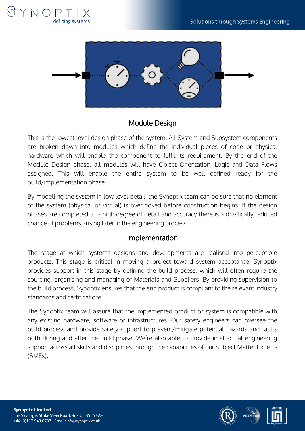



### Module Design

This is the lowest level design phase of the system. All System and Subsystem components are broken down into modules which define the individual pieces of code or physical hardware which will enable the component to fulfil its requirement. By the end of the Module Design phase, all modules will have Object Orientation, Logic and Data Flows assigned. This will enable the entire system to be well defined ready for the build/implementation phase.

By modelling the system in low level detail, the Synoptix team can be sure that no element of the system (physical or virtual) is overlooked before construction begins. If the design phases are completed to a high degree of detail and accuracy there is a drastically reduced chance of problems arising later in the engineering process.

#### Implementation

The stage at which systems designs and developments are realised into perceptible products. This stage is critical in moving a project toward system acceptance. Synoptix provides support in this stage by defining the build process, which will often require the sourcing, organising and managing of Materials and Suppliers. By providing supervision to the build process, Synoptix ensures that the end product is compliant to the relevant industry standards and certifications.

The Synoptix team will assure that the implemented product or system is compatible with any existing hardware, software or infrastructures. Our safety engineers can oversee the build process and provide safety support to prevent/mitigate potential hazards and faults both during and after the build phase. We're also able to provide intellectual engineering support across all skills and disciplines through the capabilities of our Subject Matter Experts (SMEs).



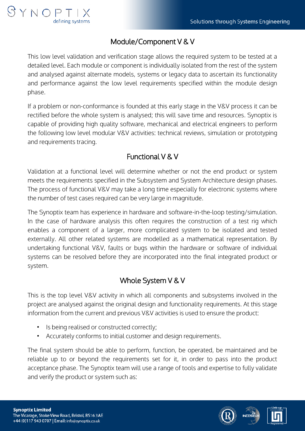

### Module/Component V & V

This low level validation and verification stage allows the required system to be tested at a detailed level. Each module or component is individually isolated from the rest of the system and analysed against alternate models, systems or legacy data to ascertain its functionality and performance against the low level requirements specified within the module design phase.

If a problem or non-conformance is founded at this early stage in the V&V process it can be rectified before the whole system is analysed; this will save time and resources. Synoptix is capable of providing high quality software, mechanical and electrical engineers to perform the following low level modular V&V activities: technical reviews, simulation or prototyping and requirements tracing.

## Functional V & V

Validation at a functional level will determine whether or not the end product or system meets the requirements specified in the Subsystem and System Architecture design phases. The process of functional V&V may take a long time especially for electronic systems where the number of test cases required can be very large in magnitude.

The Synoptix team has experience in hardware and software-in-the-loop testing/simulation. In the case of hardware analysis this often requires the construction of a test rig which enables a component of a larger, more complicated system to be isolated and tested externally. All other related systems are modelled as a mathematical representation. By undertaking functional V&V, faults or bugs within the hardware or software of individual systems can be resolved before they are incorporated into the final integrated product or system.

## Whole System V & V

This is the top level V&V activity in which all components and subsystems involved in the project are analysed against the original design and functionality requirements. At this stage information from the current and previous V&V activities is used to ensure the product:

- Is being realised or constructed correctly;
- Accurately conforms to initial customer and design requirements.

The final system should be able to perform, function, be operated, be maintained and be reliable up to or beyond the requirements set for it, in order to pass into the product acceptance phase. The Synoptix team will use a range of tools and expertise to fully validate and verify the product or system such as: